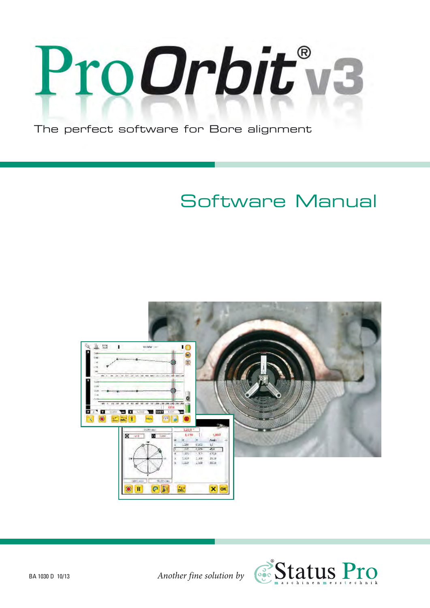

**The perfect software for Bore alignment**

# **Software Manual**



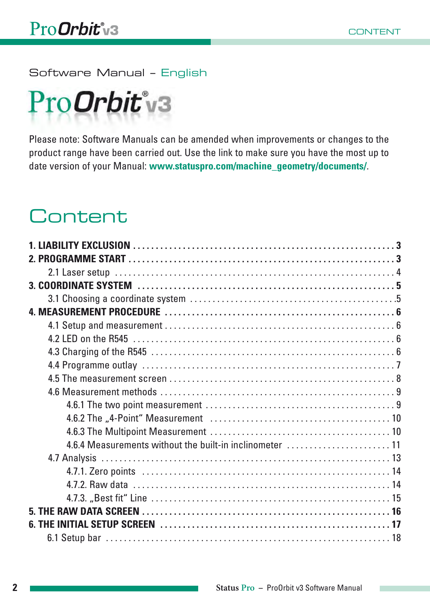**Software Manual – English**

# ProOrbit'v3

Please note: Software Manuals can be amended when improvements or changes to the product range have been carried out. Use the link to make sure you have the most up to date version of your Manual: **www.statuspro.com/machine\_geometry/documents/**.

# **Content**

| 4.6.4 Measurements without the built-in inclinometer  11 |  |
|----------------------------------------------------------|--|
|                                                          |  |
|                                                          |  |
|                                                          |  |
|                                                          |  |
|                                                          |  |
|                                                          |  |
|                                                          |  |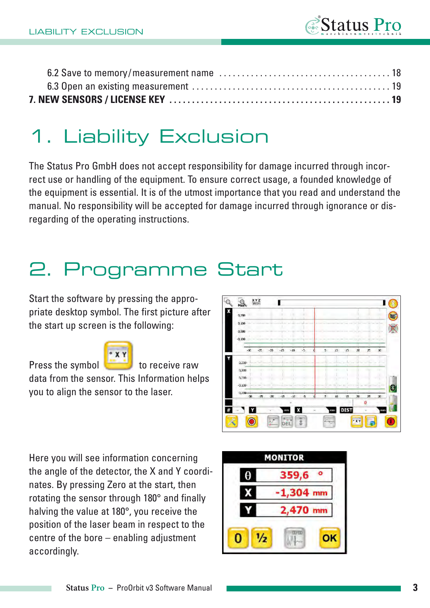

# **1. Liability Exclusion**

The Status Pro GmbH does not accept responsibility for damage incurred through incorrect use or handling of the equipment. To ensure correct usage, a founded knowledge of the equipment is essential. It is of the utmost importance that you read and understand the manual. No responsibility will be accepted for damage incurred through ignorance or disregarding of the operating instructions.

# **2. Programme Start**

Start the software by pressing the appropriate desktop symbol. The first picture after the start up screen is the following:

Press the symbol to receive raw



data from the sensor. This Information helps you to align the sensor to the laser.



Here you will see information concerning the angle of the detector, the X and Y coordinates. By pressing Zero at the start, then rotating the sensor through 180° and finally halving the value at 180°, you receive the position of the laser beam in respect to the centre of the bore – enabling adjustment accordingly.

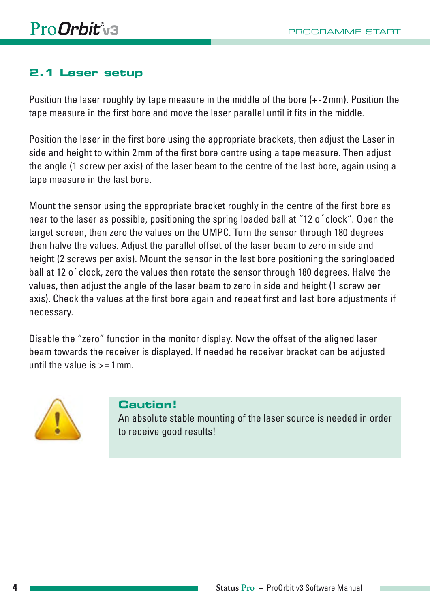# **2.1 Laser setup**

Position the laser roughly by tape measure in the middle of the bore (+ - 2 mm). Position the tape measure in the first bore and move the laser parallel until it fits in the middle.

Position the laser in the first bore using the appropriate brackets, then adjust the Laser in side and height to within 2 mm of the first bore centre using a tape measure. Then adjust the angle (1 screw per axis) of the laser beam to the centre of the last bore, again using a tape measure in the last bore.

Mount the sensor using the appropriate bracket roughly in the centre of the first bore as near to the laser as possible, positioning the spring loaded ball at "12 o´clock". Open the target screen, then zero the values on the UMPC. Turn the sensor through 180 degrees then halve the values. Adjust the parallel offset of the laser beam to zero in side and height (2 screws per axis). Mount the sensor in the last bore positioning the springloaded ball at 12 o´clock, zero the values then rotate the sensor through 180 degrees. Halve the values, then adjust the angle of the laser beam to zero in side and height (1 screw per axis). Check the values at the first bore again and repeat first and last bore adjustments if necessary.

Disable the "zero" function in the monitor display. Now the offset of the aligned laser beam towards the receiver is displayed. If needed he receiver bracket can be adjusted until the value is  $> = 1$  mm.



#### **Caution!**

An absolute stable mounting of the laser source is needed in order to receive good results!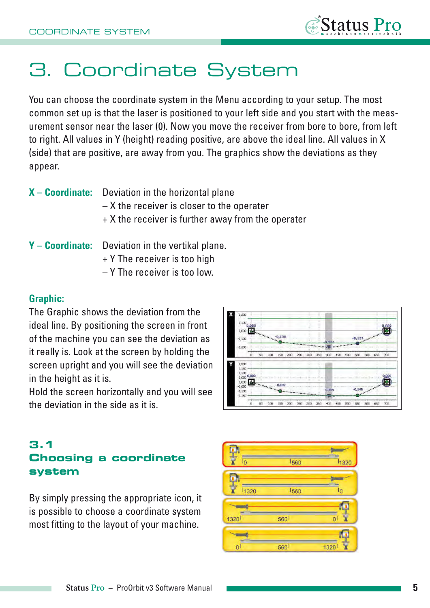

# **3. Coordinate System**

You can choose the coordinate system in the Menu according to your setup. The most common set up is that the laser is positioned to your left side and you start with the measurement sensor near the laser (0). Now you move the receiver from bore to bore, from left to right. All values in Y (height) reading positive, are above the ideal line. All values in X (side) that are positive, are away from you. The graphics show the deviations as they appear.

- **X Coordinate:** Deviation in the horizontal plane
	- X the receiver is closer to the operater
	- + X the receiver is further away from the operater
- **Y Coordinate:** Deviation in the vertikal plane.
	- + Y The receiver is too high
	- Y The receiver is too low.

#### **Graphic:**

The Graphic shows the deviation from the ideal line. By positioning the screen in front of the machine you can see the deviation as it really is. Look at the screen by holding the screen upright and you will see the deviation in the height as it is.

Hold the screen horizontally and you will see the deviation in the side as it is.



### **3.1 Choosing a coordinate system**

By simply pressing the appropriate icon, it is possible to choose a coordinate system most fitting to the layout of your machine.

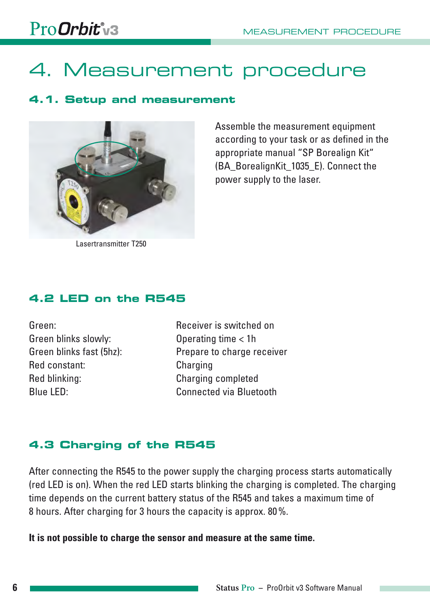# ProOrbit'v3

# **4. Measurement procedure**

### **4.1. Setup and measurement**



Assemble the measurement equipment according to your task or as defined in the appropriate manual "SP Borealign Kit" (BA\_BorealignKit\_1035\_E). Connect the power supply to the laser.

Lasertransmitter T250

### **4.2 LED on the R545**

Green blinks slowly: Operating time < 1h Red constant: Charging Red blinking: Charging completed

Green: Receiver is switched on Green blinks fast (5hz): Prepare to charge receiver Blue LED: Connected via Bluetooth

# **4.3 Charging of the R545**

After connecting the R545 to the power supply the charging process starts automatically (red LED is on). When the red LED starts blinking the charging is completed. The charging time depends on the current battery status of the R545 and takes a maximum time of 8 hours. After charging for 3 hours the capacity is approx. 80 %.

**It is not possible to charge the sensor and measure at the same time.**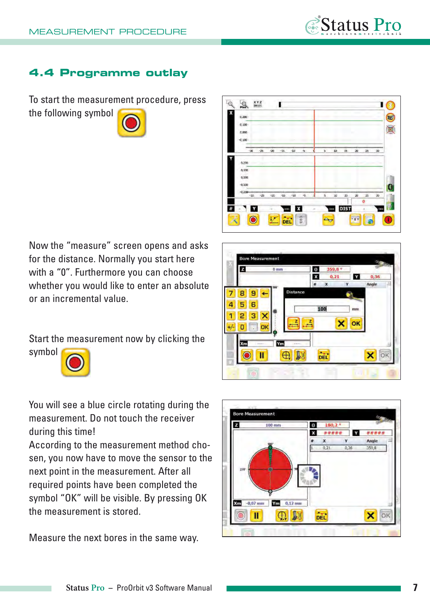

#### **4.4 Programme outlay**

To start the measurement procedure, press the following symbol .





Now the "measure" screen opens and asks for the distance. Normally you start here with a "0". Furthermore you can choose whether you would like to enter an absolute or an incremental value.

Start the measurement now by clicking the symbol



You will see a blue circle rotating during the measurement. Do not touch the receiver during this time!

According to the measurement method chosen, you now have to move the sensor to the next point in the measurement. After all required points have been completed the symbol "OK" will be visible. By pressing OK the measurement is stored.

Measure the next bores in the same way.



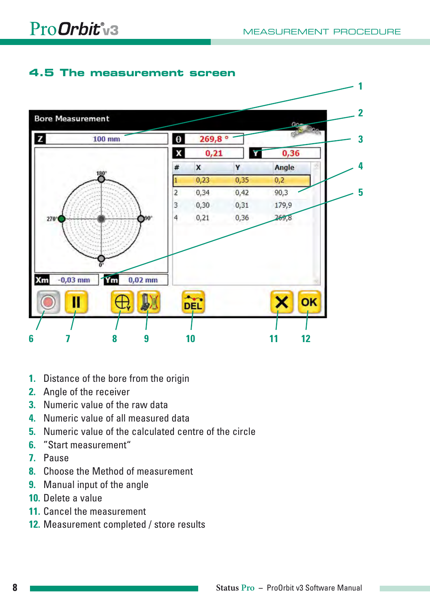### **4.5 The measurement screen**



- **1.** Distance of the bore from the origin
- **2.** Angle of the receiver
- **3.** Numeric value of the raw data
- **4.** Numeric value of all measured data
- **5.** Numeric value of the calculated centre of the circle
- **6.** "Start measurement"
- **7.** Pause
- **8.** Choose the Method of measurement
- **9.** Manual input of the angle
- **10.** Delete a value
- **11.** Cancel the measurement
- **12.** Measurement completed / store results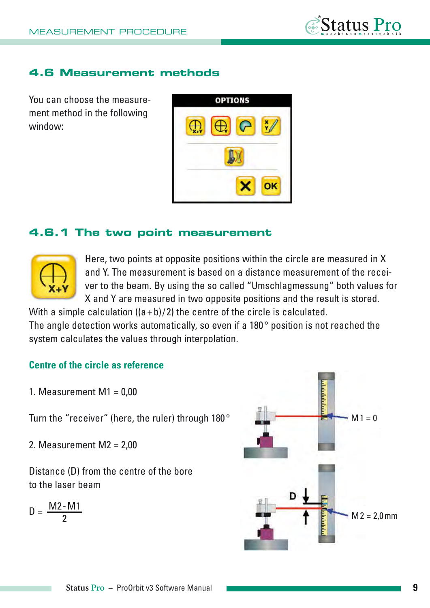# **4.6 Measurement methods**

You can choose the measurement method in the following window:



### **4.6.1 The two point measurement**



Here, two points at opposite positions within the circle are measured in X and Y. The measurement is based on a distance measurement of the receiver to the beam. By using the so called "Umschlagmessung" both values for X and Y are measured in two opposite positions and the result is stored.

With a simple calculation  $((a + b)/2)$  the centre of the circle is calculated. The angle detection works automatically, so even if a 180° position is not reached the system calculates the values through interpolation.

### **Centre of the circle as reference**

1. Measurement  $M1 = 0.00$ 

Turn the "receiver" (here, the ruler) through 180 °

2. Measurement  $M2 = 2,00$ 

Distance (D) from the centre of the bore to the laser beam

$$
D = \frac{M2 - M1}{2}
$$

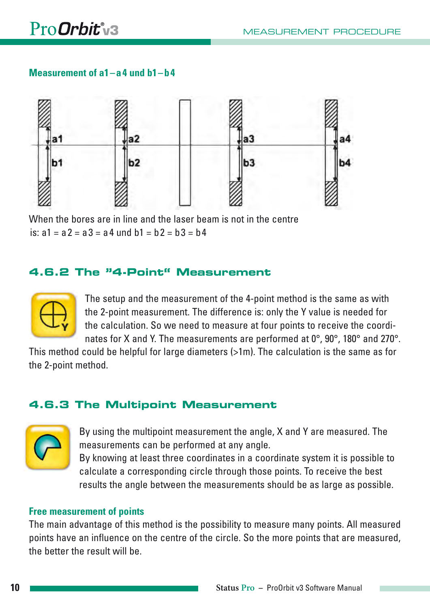#### **Measurement of a1 – a 4 und b1 – b 4**



When the bores are in line and the laser beam is not in the centre is:  $a1 = a2 = a3 = a4$  und  $b1 = b2 = b3 = b4$ 

### **4.6.2 The "4-Point" Measurement**



The setup and the measurement of the 4-point method is the same as with the 2-point measurement. The difference is: only the Y value is needed for the calculation. So we need to measure at four points to receive the coordinates for X and Y. The measurements are performed at 0°, 90°, 180° and 270°.

This method could be helpful for large diameters (>1m). The calculation is the same as for the 2-point method.

# **4.6.3 The Multipoint Measurement**



By using the multipoint measurement the angle, X and Y are measured. The measurements can be performed at any angle. By knowing at least three coordinates in a coordinate system it is possible to calculate a corresponding circle through those points. To receive the best results the angle between the measurements should be as large as possible.

#### **Free measurement of points**

The main advantage of this method is the possibility to measure many points. All measured points have an influence on the centre of the circle. So the more points that are measured, the better the result will be.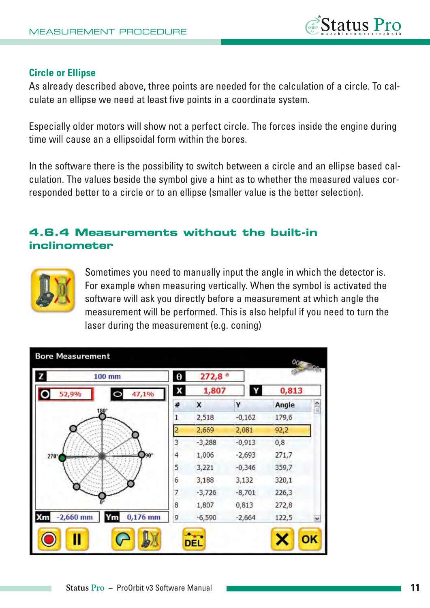#### **Circle or Ellipse**

As already described above, three points are needed for the calculation of a circle. To calculate an ellipse we need at least five points in a coordinate system.

Especially older motors will show not a perfect circle. The forces inside the engine during time will cause an a ellipsoidal form within the bores.

In the software there is the possibility to switch between a circle and an ellipse based calculation. The values beside the symbol give a hint as to whether the measured values corresponded better to a circle or to an ellipse (smaller value is the better selection).

## **4.6.4 Measurements without the built-in inclinometer**



Sometimes you need to manually input the angle in which the detector is. For example when measuring vertically. When the symbol is activated the software will ask you directly before a measurement at which angle the measurement will be performed. This is also helpful if you need to turn the laser during the measurement (e.g. coning)

|             | $100$ mm         | $\theta$ | 272,8°   |          |       |               |
|-------------|------------------|----------|----------|----------|-------|---------------|
| 52,9%       | 47,1%<br>Ò       | X        | 1,807    | Y        | 0,813 |               |
|             |                  | #        | X        | Y        | Angle | $\frac{1}{2}$ |
|             | 180 <sup>°</sup> | 1        | 2,518    | $-0,162$ | 179,6 |               |
|             |                  | 2        | 2,669    | 2,081    | 92,2  |               |
|             |                  | 3        | $-3,288$ | $-0,913$ | 0,8   |               |
| $270^\circ$ |                  | 4        | 1,006    | $-2,693$ | 271,7 |               |
|             |                  | 5        | 3,221    | $-0,346$ | 359,7 |               |
|             |                  | 6        | 3,188    | 3,132    | 320,1 |               |
|             |                  | 7        | $-3,726$ | $-8,701$ | 226,3 |               |
|             |                  | 8        | 1,807    | 0,813    | 272,8 |               |
| $-2,660$ mm | $0,176$ mm<br>Ym | 9        | $-6,590$ | $-2,664$ | 122,5 | ×             |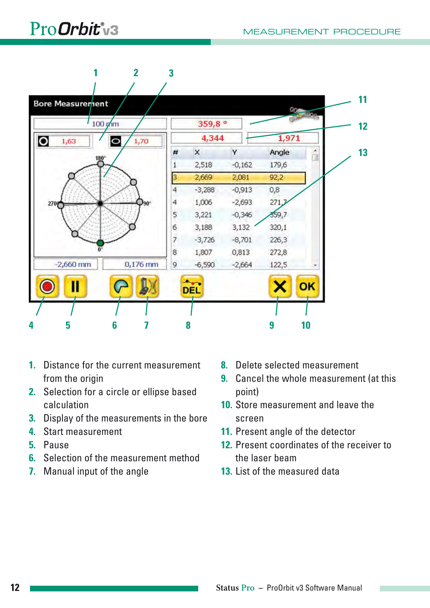# ProOrbit v3



- **1.** Distance for the current measurement from the origin
- **2.** Selection for a circle or ellipse based calculation
- **3.** Display of the measurements in the bore
- **4**. Start measurement
- **5.** Pause
- **6.** Selection of the measurement method
- **7.** Manual input of the angle
- **8.** Delete selected measurement
- **9.** Cancel the whole measurement (at this point)
- **10.** Store measurement and leave the screen
- **11.** Present angle of the detector
- **12.** Present coordinates of the receiver to the laser beam
- **13.** List of the measured data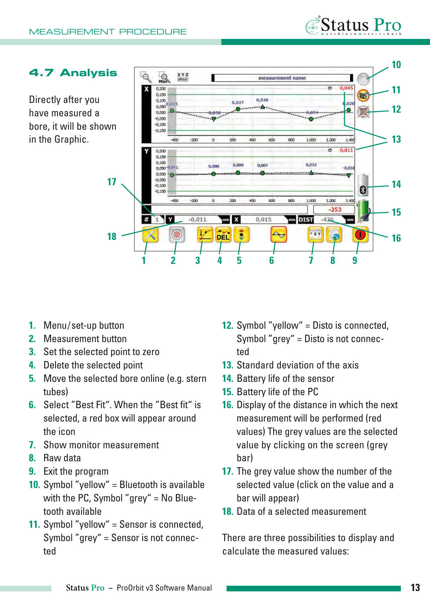### **4.7 Analysis**

Directly after you have measured a bore, it will be shown in the Graphic.



- 1. Menu/set-up button
- **2.** Measurement button
- **3.** Set the selected point to zero
- **4.** Delete the selected point
- **5.** Move the selected bore online (e.g. stern tubes)
- **6.** Select "Best Fit". When the "Best fit" is selected, a red box will appear around the icon
- **7.** Show monitor measurement
- **8.** Raw data
- **9.** Exit the program
- **10.** Symbol "yellow" = Bluetooth is available with the PC, Symbol "grey" = No Bluetooth available
- **11.** Symbol "yellow" = Sensor is connected, Symbol "grey" = Sensor is not connected

**12.** Symbol "yellow" = Disto is connected, Symbol "grey" = Disto is not connected

*Status* Pro

- **13.** Standard deviation of the axis
- **14.** Battery life of the sensor
- **15.** Battery life of the PC
- **16.** Display of the distance in which the next measurement will be performed (red values) The grey values are the selected value by clicking on the screen (grey bar)
- **17.** The grey value show the number of the selected value (click on the value and a bar will appear)
- **18.** Data of a selected measurement

There are three possibilities to display and calculate the measured values: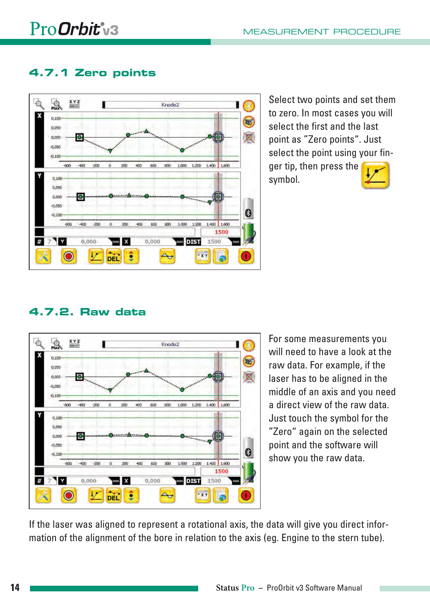# **4.7.1 Zero points**



Select two points and set them to zero. In most cases you will select the first and the last point as "Zero points". Just select the point using your fin-

ger tip, then press the symbol.



# **4.7.2. Raw data**



For some measurements you will need to have a look at the raw data. For example, if the laser has to be aligned in the middle of an axis and you need a direct view of the raw data. Just touch the symbol for the "Zero" again on the selected point and the software will show you the raw data.

If the laser was aligned to represent a rotational axis, the data will give you direct information of the alignment of the bore in relation to the axis (eg. Engine to the stern tube).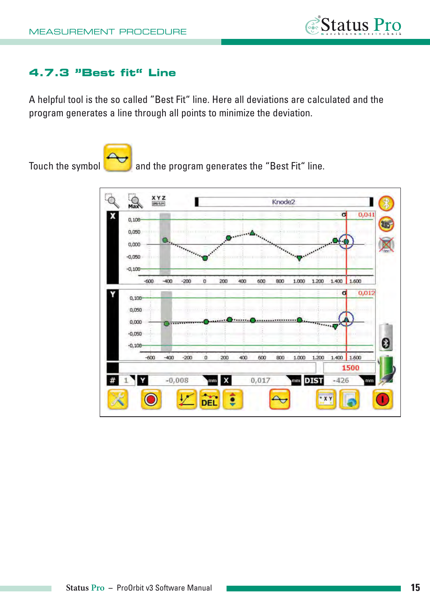

### **4.7.3 "Best fit" Line**

A helpful tool is the so called "Best Fit" line. Here all deviations are calculated and the program generates a line through all points to minimize the deviation.



Touch the symbol and the program generates the "Best Fit" line.

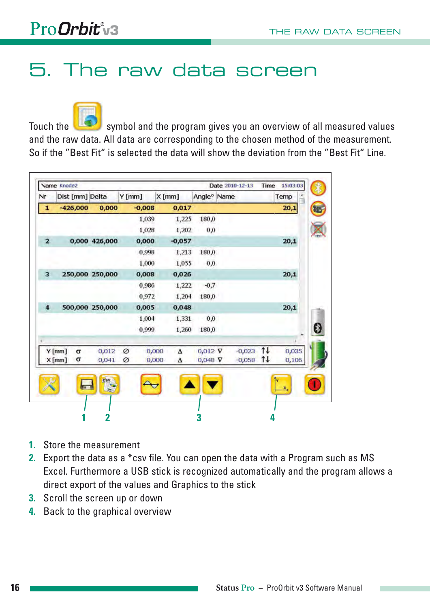

# **5. The raw data screen**

Touch the symbol and the program gives you an overview of all measured values and the raw data. All data are corresponding to the chosen method of the measurement. So if the "Best Fit" is selected the data will show the deviation from the "Best Fit" Line.

|                | <b>Name Knode2</b> |                 |          |          |          |                         | Date 2010-12-13 |          |      | Time 15:03:03 |
|----------------|--------------------|-----------------|----------|----------|----------|-------------------------|-----------------|----------|------|---------------|
| Nr             | Dist [mm] Delta    |                 | $Y$ [mm] |          | $X$ [mm] | Angle <sup>o</sup> Name |                 |          |      | Temp          |
| $\mathbf{1}$   | $-426,000$         | 0,000           |          | $-0,008$ | 0,017    |                         |                 |          |      | 20,1          |
|                |                    |                 |          | 1,039    | 1,225    | 180,0                   |                 |          |      |               |
|                |                    |                 |          | 1,028    | 1,202    | 0,0                     |                 |          |      |               |
| $\overline{2}$ |                    | 0,000 426,000   |          | 0,000    | $-0,057$ |                         |                 |          |      | 20,1          |
|                |                    |                 |          | 0,998    | 1,213    | 180,0                   |                 |          |      |               |
|                |                    |                 |          | 1,000    | 1,055    | 0,0                     |                 |          |      |               |
| 3              |                    | 250,000 250,000 |          | 0,008    | 0,026    |                         |                 |          |      | 20,1          |
|                |                    |                 |          | 0,986    | 1,222    | $-0,7$                  |                 |          |      |               |
|                |                    |                 |          | 0,972    | 1,204    | 180,0                   |                 |          |      |               |
| 4              |                    | 500,000 250,000 |          | 0,005    | 0,048    |                         |                 |          |      | 20,1          |
|                |                    |                 |          | 1,004    | 1,331    | 0,0                     |                 |          |      |               |
|                |                    |                 |          | 0,999    | 1,260    | 180,0                   |                 |          |      |               |
|                |                    |                 |          |          |          |                         |                 |          |      |               |
|                | Y[mm]<br>σ         | 0,012           | Ø        | 0,000    | Δ        | $0,012$ $\nabla$        |                 | $-0,023$ | 1t   | 0,035         |
|                | σ<br>X[mm]         | 0,041           | Ø        | 0,000    | Δ        | $0,048$ $\nabla$        |                 | $-0,058$ | $1+$ | 0,106         |

- **1.** Store the measurement
- **2.** Export the data as a \*csv file. You can open the data with a Program such as MS Excel. Furthermore a USB stick is recognized automatically and the program allows a direct export of the values and Graphics to the stick
- **3.** Scroll the screen up or down
- **4.** Back to the graphical overview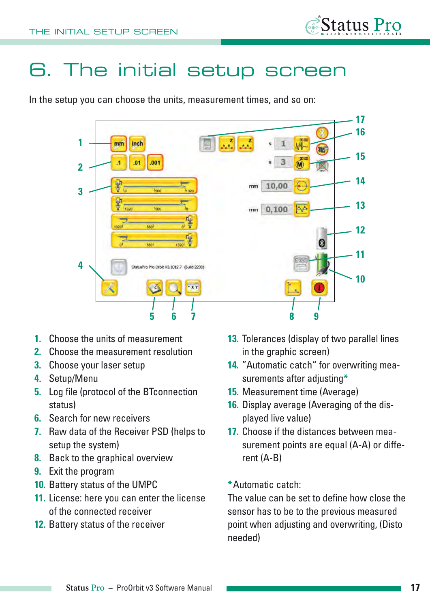

# **6. The initial setup screen**

In the setup you can choose the units, measurement times, and so on:



- **1.** Choose the units of measurement
- **2.** Choose the measurement resolution
- **3.** Choose your laser setup
- **4**. Setup/Menu
- **5.** Log file (protocol of the BTconnection status)
- **6.** Search for new receivers
- **7.** Raw data of the Receiver PSD (helps to setup the system)
- **8.** Back to the graphical overview
- **9.** Exit the program
- **10.** Battery status of the UMPC
- **11.** License: here you can enter the license of the connected receiver
- **12.** Battery status of the receiver
- **13.** Tolerances (display of two parallel lines in the graphic screen)
- **14.** "Automatic catch" for overwriting measurements after adjusting**\***
- **15.** Measurement time (Average)
- **16.** Display average (Averaging of the displayed live value)
- **17.** Choose if the distances between measurement points are equal (A-A) or different (A-B)
- **\***Automatic catch:

The value can be set to define how close the sensor has to be to the previous measured point when adjusting and overwriting, (Disto needed)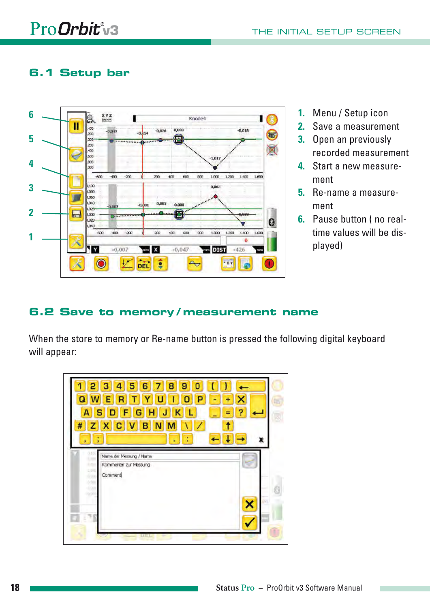# **6.1 Setup bar**



- **1.** Menu / Setup icon
- **2.** Save a measurement
- **3.** Open an previously recorded measurement
- **4.** Start a new measurement
- **5.** Re-name a measurement
- **6.** Pause button ( no realtime values will be displayed)

#### **6.2 Save to memory / measurement name**

When the store to memory or Re-name button is pressed the following digital keyboard will appear:

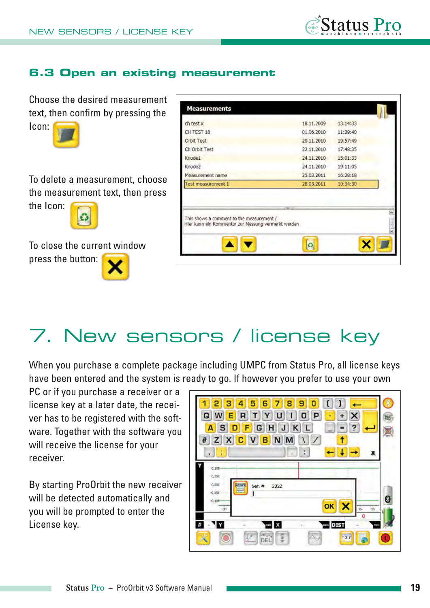

# **6.3 Open an existing measurement**

Choose the desired measurement text, then confirm by pressing the



To delete a measurement, choose the measurement text, then press the Icon:

To close the current window press the button:

| ch test x                                                                                                     |            |          |
|---------------------------------------------------------------------------------------------------------------|------------|----------|
|                                                                                                               | 18.11.2009 | 13:14:33 |
| CH TEST 18                                                                                                    | 01.06.2010 | 11:29:40 |
| Orbit Test                                                                                                    | 20.11.2010 | 19:57:49 |
| Ch Orbit Test                                                                                                 | 22.11.2010 | 17:48:35 |
| Knode1                                                                                                        | 24.11.2010 | 15:01:33 |
| Knode2                                                                                                        | 24.11.2010 | 19:11:05 |
| Measurement name                                                                                              | 25.03.2011 | 16:28:18 |
| Test measurement 1                                                                                            | 28.03.2011 | 10:34:30 |
| tretretes<br>This shows a comment to the measurement /<br>Hier kann ein Kommentar zur Messung vermerkt werden |            |          |

# **7. New sensors / license key**

When you purchase a complete package including UMPC from Status Pro, all license keys have been entered and the system is ready to go. If however you prefer to use your own

PC or if you purchase a receiver or a license key at a later date, the receiver has to be registered with the software. Together with the software you will receive the license for your receiver.

By starting ProOrbit the new receiver will be detected automatically and you will be prompted to enter the License key.

| 6<br>2<br>з<br>5<br>8<br>9<br>n<br>$\times$<br>$\ddot{}$<br>P<br>Q<br>Υ<br>R<br>ø<br>F<br>ċ,<br>L<br>н<br>К<br>s<br>J<br>G<br>Д<br>Z X<br>N<br>#<br><b>C</b> <sub>V</sub><br>M<br>7<br>в<br>٠<br>x<br>3<br>٠ | $\sqrt{2\pi r}$ |
|--------------------------------------------------------------------------------------------------------------------------------------------------------------------------------------------------------------|-----------------|
| Y<br>C, 106<br>0.050<br>0,000<br>litters<br>2322<br>Ser. $#$<br>e<br>$-0.050$<br>Π<br>0.108<br>ok<br>$\mathfrak{A}$<br>-20<br>$\rm 2S$<br>0                                                                  | 0               |
| Y<br><b>DIST</b><br>#<br>x<br>mm<br>mm<br>O<br><b>XY</b><br>¥<br>DEL                                                                                                                                         | т               |